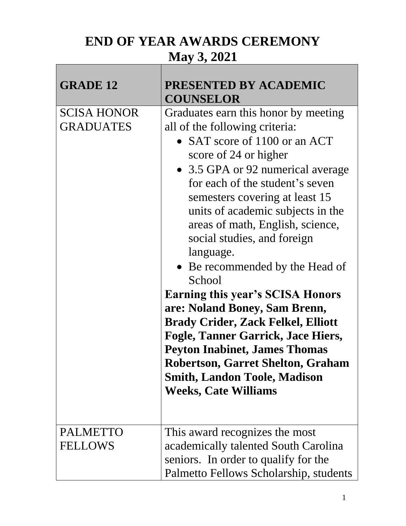## **END OF YEAR AWARDS CEREMONY May 3, 2021**

| <b>GRADE 12</b>                        | PRESENTED BY ACADEMIC<br><b>COUNSELOR</b>                                                                                                                                                                                                                                                                                                                                                                                                                                                                                                                                                                                                                                                                                             |
|----------------------------------------|---------------------------------------------------------------------------------------------------------------------------------------------------------------------------------------------------------------------------------------------------------------------------------------------------------------------------------------------------------------------------------------------------------------------------------------------------------------------------------------------------------------------------------------------------------------------------------------------------------------------------------------------------------------------------------------------------------------------------------------|
| <b>SCISA HONOR</b><br><b>GRADUATES</b> | Graduates earn this honor by meeting<br>all of the following criteria:<br>• SAT score of 1100 or an ACT<br>score of 24 or higher<br>• 3.5 GPA or 92 numerical average<br>for each of the student's seven<br>semesters covering at least 15<br>units of academic subjects in the<br>areas of math, English, science,<br>social studies, and foreign<br>language.<br>• Be recommended by the Head of<br>School<br><b>Earning this year's SCISA Honors</b><br>are: Noland Boney, Sam Brenn,<br><b>Brady Crider, Zack Felkel, Elliott</b><br>Fogle, Tanner Garrick, Jace Hiers,<br><b>Peyton Inabinet, James Thomas</b><br><b>Robertson, Garret Shelton, Graham</b><br><b>Smith, Landon Toole, Madison</b><br><b>Weeks, Cate Williams</b> |
| <b>PALMETTO</b><br><b>FELLOWS</b>      | This award recognizes the most<br>academically talented South Carolina<br>seniors. In order to qualify for the<br>Palmetto Fellows Scholarship, students                                                                                                                                                                                                                                                                                                                                                                                                                                                                                                                                                                              |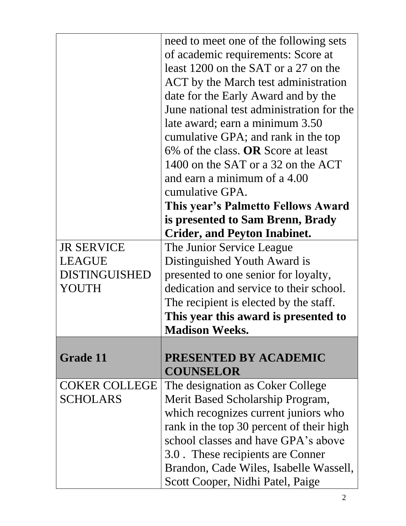|                      | need to meet one of the following sets    |
|----------------------|-------------------------------------------|
|                      | of academic requirements: Score at        |
|                      | least 1200 on the SAT or a 27 on the      |
|                      | ACT by the March test administration      |
|                      | date for the Early Award and by the       |
|                      | June national test administration for the |
|                      | late award; earn a minimum 3.50           |
|                      | cumulative GPA; and rank in the top       |
|                      | $6\%$ of the class. OR Score at least     |
|                      | 1400 on the SAT or a 32 on the ACT        |
|                      | and earn a minimum of a 4.00              |
|                      | cumulative GPA.                           |
|                      | This year's Palmetto Fellows Award        |
|                      | is presented to Sam Brenn, Brady          |
|                      | <b>Crider, and Peyton Inabinet.</b>       |
| <b>JR SERVICE</b>    | The Junior Service League                 |
| <b>LEAGUE</b>        | Distinguished Youth Award is              |
| DISTINGUISHED        | presented to one senior for loyalty,      |
| YOUTH                | dedication and service to their school.   |
|                      | The recipient is elected by the staff.    |
|                      | This year this award is presented to      |
|                      | <b>Madison Weeks.</b>                     |
|                      |                                           |
| <b>Grade 11</b>      | <b>PRESENTED BY ACADEMIC</b>              |
|                      | <b>COUNSELOR</b>                          |
| <b>COKER COLLEGE</b> | The designation as Coker College          |
| SCHOLARS             | Merit Based Scholarship Program,          |
|                      | which recognizes current juniors who      |
|                      | rank in the top 30 percent of their high  |
|                      | school classes and have GPA's above       |
|                      | 3.0. These recipients are Conner          |
|                      | Brandon, Cade Wiles, Isabelle Wassell,    |
|                      | Scott Cooper, Nidhi Patel, Paige          |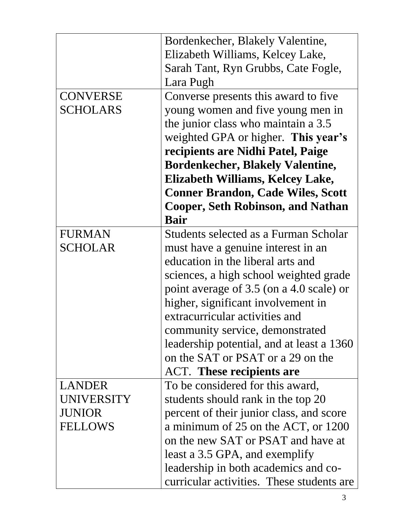|                   | Bordenkecher, Blakely Valentine,          |
|-------------------|-------------------------------------------|
|                   | Elizabeth Williams, Kelcey Lake,          |
|                   | Sarah Tant, Ryn Grubbs, Cate Fogle,       |
|                   | Lara Pugh                                 |
| <b>CONVERSE</b>   | Converse presents this award to five      |
| <b>SCHOLARS</b>   |                                           |
|                   | young women and five young men in         |
|                   | the junior class who maintain a 3.5       |
|                   | weighted GPA or higher. This year's       |
|                   | recipients are Nidhi Patel, Paige         |
|                   | <b>Bordenkecher, Blakely Valentine,</b>   |
|                   | Elizabeth Williams, Kelcey Lake,          |
|                   | <b>Conner Brandon, Cade Wiles, Scott</b>  |
|                   | <b>Cooper, Seth Robinson, and Nathan</b>  |
|                   | <b>Bair</b>                               |
| <b>FURMAN</b>     | Students selected as a Furman Scholar     |
| <b>SCHOLAR</b>    | must have a genuine interest in an        |
|                   | education in the liberal arts and         |
|                   | sciences, a high school weighted grade    |
|                   | point average of 3.5 (on a 4.0 scale) or  |
|                   | higher, significant involvement in        |
|                   | extracurricular activities and            |
|                   | community service, demonstrated           |
|                   | leadership potential, and at least a 1360 |
|                   | on the SAT or PSAT or a 29 on the         |
|                   | <b>ACT.</b> These recipients are          |
| <b>LANDER</b>     | To be considered for this award,          |
| <b>UNIVERSITY</b> | students should rank in the top 20        |
| <b>JUNIOR</b>     | percent of their junior class, and score  |
| <b>FELLOWS</b>    | a minimum of 25 on the ACT, or 1200       |
|                   | on the new SAT or PSAT and have at        |
|                   | least a 3.5 GPA, and exemplify            |
|                   | leadership in both academics and co-      |
|                   | curricular activities. These students are |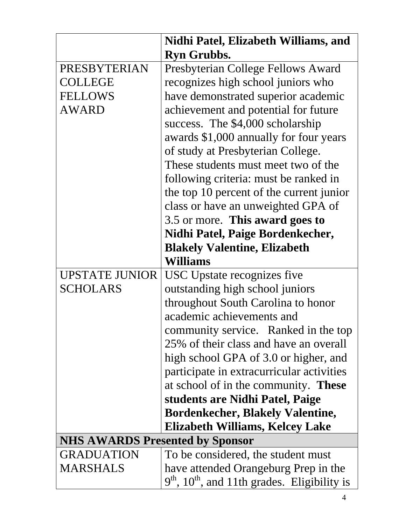|                                        | Nidhi Patel, Elizabeth Williams, and                       |
|----------------------------------------|------------------------------------------------------------|
|                                        | <b>Ryn Grubbs.</b>                                         |
| PRESBYTERIAN                           | Presbyterian College Fellows Award                         |
| <b>COLLEGE</b>                         | recognizes high school juniors who                         |
| <b>FELLOWS</b>                         | have demonstrated superior academic                        |
| <b>AWARD</b>                           | achievement and potential for future                       |
|                                        | success. The \$4,000 scholarship                           |
|                                        | awards \$1,000 annually for four years                     |
|                                        | of study at Presbyterian College.                          |
|                                        | These students must meet two of the                        |
|                                        | following criteria: must be ranked in                      |
|                                        | the top 10 percent of the current junior                   |
|                                        | class or have an unweighted GPA of                         |
|                                        | 3.5 or more. This award goes to                            |
|                                        | Nidhi Patel, Paige Bordenkecher,                           |
|                                        | <b>Blakely Valentine, Elizabeth</b>                        |
|                                        | <b>Williams</b>                                            |
| <b>UPSTATE JUNIOR</b>                  | USC Upstate recognizes five                                |
| <b>SCHOLARS</b>                        | outstanding high school juniors                            |
|                                        | throughout South Carolina to honor                         |
|                                        | academic achievements and                                  |
|                                        | community service. Ranked in the top                       |
|                                        | 25% of their class and have an overall                     |
|                                        | high school GPA of 3.0 or higher, and                      |
|                                        | participate in extracurricular activities                  |
|                                        | at school of in the community. <b>These</b>                |
|                                        | students are Nidhi Patel, Paige                            |
|                                        | <b>Bordenkecher, Blakely Valentine,</b>                    |
|                                        | Elizabeth Williams, Kelcey Lake                            |
| <b>NHS AWARDS Presented by Sponsor</b> |                                                            |
| <b>GRADUATION</b>                      | To be considered, the student must                         |
| <b>MARSHALS</b>                        | have attended Orangeburg Prep in the                       |
|                                        | $9th$ , 10 <sup>th</sup> , and 11th grades. Eligibility is |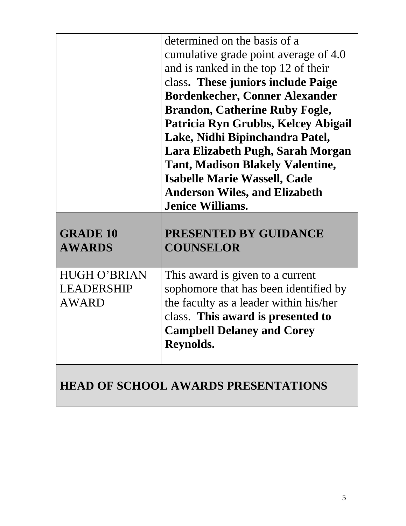|                                                   | determined on the basis of a<br>cumulative grade point average of 4.0<br>and is ranked in the top 12 of their<br>class. These juniors include Paige<br><b>Bordenkecher, Conner Alexander</b><br><b>Brandon, Catherine Ruby Fogle,</b><br>Patricia Ryn Grubbs, Kelcey Abigail<br>Lake, Nidhi Bipinchandra Patel,<br>Lara Elizabeth Pugh, Sarah Morgan<br><b>Tant, Madison Blakely Valentine,</b><br><b>Isabelle Marie Wassell, Cade</b><br><b>Anderson Wiles, and Elizabeth</b> |
|---------------------------------------------------|--------------------------------------------------------------------------------------------------------------------------------------------------------------------------------------------------------------------------------------------------------------------------------------------------------------------------------------------------------------------------------------------------------------------------------------------------------------------------------|
| <b>GRADE 10</b><br><b>AWARDS</b>                  | <b>Jenice Williams.</b><br>PRESENTED BY GUIDANCE<br><b>COUNSELOR</b>                                                                                                                                                                                                                                                                                                                                                                                                           |
| <b>HUGH O'BRIAN</b><br>LEADERSHIP<br><b>AWARD</b> | This award is given to a current<br>sophomore that has been identified by<br>the faculty as a leader within his/her<br>class. This award is presented to<br><b>Campbell Delaney and Corey</b><br>Reynolds.                                                                                                                                                                                                                                                                     |
|                                                   | <b>HEAD OF SCHOOL AWARDS PRESENTATIONS</b>                                                                                                                                                                                                                                                                                                                                                                                                                                     |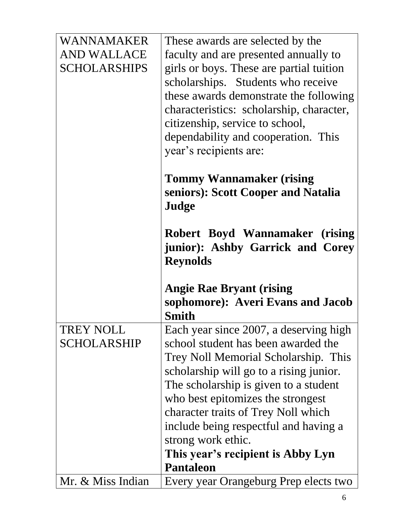| WANNAMAKER          | These awards are selected by the                                                      |
|---------------------|---------------------------------------------------------------------------------------|
| AND WALLACE         | faculty and are presented annually to                                                 |
| <b>SCHOLARSHIPS</b> | girls or boys. These are partial tuition                                              |
|                     | scholarships. Students who receive                                                    |
|                     | these awards demonstrate the following                                                |
|                     | characteristics: scholarship, character,                                              |
|                     | citizenship, service to school,                                                       |
|                     | dependability and cooperation. This                                                   |
|                     | year's recipients are:                                                                |
|                     | <b>Tommy Wannamaker (rising</b><br>seniors): Scott Cooper and Natalia<br>Judge        |
|                     | Robert Boyd Wannamaker (rising<br>junior): Ashby Garrick and Corey<br><b>Reynolds</b> |
|                     | <b>Angie Rae Bryant (rising</b>                                                       |
|                     | sophomore): Averi Evans and Jacob                                                     |
|                     | <b>Smith</b>                                                                          |
| <b>TREY NOLL</b>    | Each year since 2007, a deserving high                                                |
| SCHOLARSHIP         | school student has been awarded the                                                   |
|                     | Trey Noll Memorial Scholarship. This                                                  |
|                     | scholarship will go to a rising junior.                                               |
|                     | The scholarship is given to a student                                                 |
|                     | who best epitomizes the strongest                                                     |
|                     | character traits of Trey Noll which                                                   |
|                     | include being respectful and having a                                                 |
|                     | strong work ethic.                                                                    |
|                     | This year's recipient is Abby Lyn<br><b>Pantaleon</b>                                 |
| Mr. & Miss Indian   | Every year Orangeburg Prep elects two                                                 |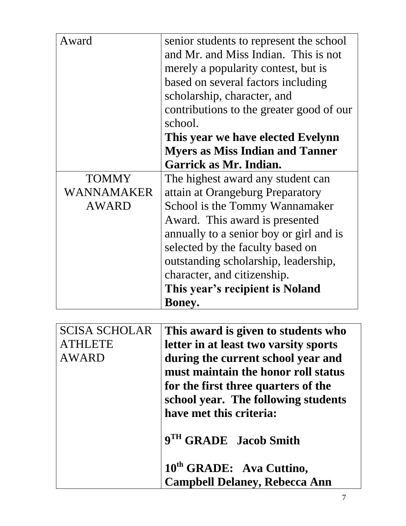| Award        | senior students to represent the school  |
|--------------|------------------------------------------|
|              | and Mr. and Miss Indian. This is not     |
|              | merely a popularity contest, but is      |
|              | based on several factors including       |
|              | scholarship, character, and              |
|              | contributions to the greater good of our |
|              | school.                                  |
|              | This year we have elected Evelynn        |
|              | <b>Myers as Miss Indian and Tanner</b>   |
|              | Garrick as Mr. Indian.                   |
| <b>TOMMY</b> | The highest award any student can        |
| WANNAMAKER   | attain at Orangeburg Preparatory         |
| <b>AWARD</b> | School is the Tommy Wannamaker           |
|              | Award. This award is presented           |
|              | annually to a senior boy or girl and is  |
|              | selected by the faculty based on         |
|              | outstanding scholarship, leadership,     |
|              | character, and citizenship.              |
|              | This year's recipient is Noland          |
|              | <b>Boney.</b>                            |

| <b>SCISA SCHOLAR</b> | This award is given to students who   |
|----------------------|---------------------------------------|
| <b>ATHLETE</b>       | letter in at least two varsity sports |
| <b>AWARD</b>         | during the current school year and    |
|                      | must maintain the honor roll status   |
|                      | for the first three quarters of the   |
|                      | school year. The following students   |
|                      | have met this criteria:               |
|                      | 9TH GRADE Jacob Smith                 |
|                      | 10 <sup>th</sup> GRADE: Ava Cuttino,  |
|                      | <b>Campbell Delaney, Rebecca Ann</b>  |